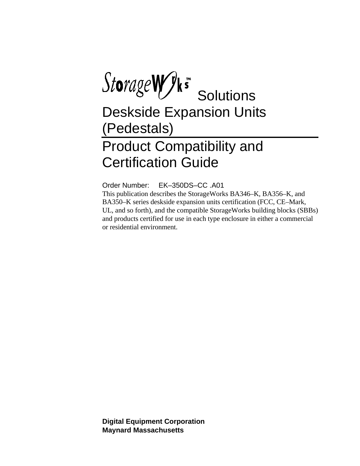StorageWyks Solutions

Deskside Expansion Units (Pedestals)

## Product Compatibility and Certification Guide

Order Number: EK–350DS–CC .A01 This publication describes the StorageWorks BA346–K, BA356–K, and BA350–K series deskside expansion units certification (FCC, CE–Mark, UL, and so forth), and the compatible StorageWorks building blocks (SBBs) and products certified for use in each type enclosure in either a commercial or residential environment.

**Digital Equipment Corporation Maynard Massachusetts**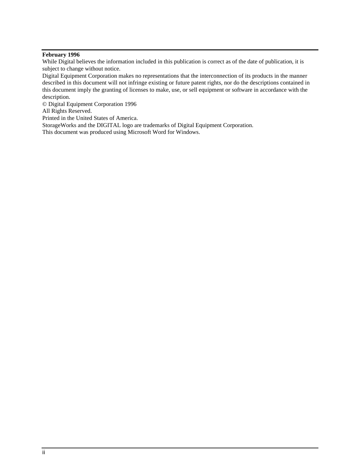### **February 1996**

While Digital believes the information included in this publication is correct as of the date of publication, it is subject to change without notice.

Digital Equipment Corporation makes no representations that the interconnection of its products in the manner described in this document will not infringe existing or future patent rights, nor do the descriptions contained in this document imply the granting of licenses to make, use, or sell equipment or software in accordance with the description.

© Digital Equipment Corporation 1996

All Rights Reserved.

Printed in the United States of America.

StorageWorks and the DIGITAL logo are trademarks of Digital Equipment Corporation.

This document was produced using Microsoft Word for Windows.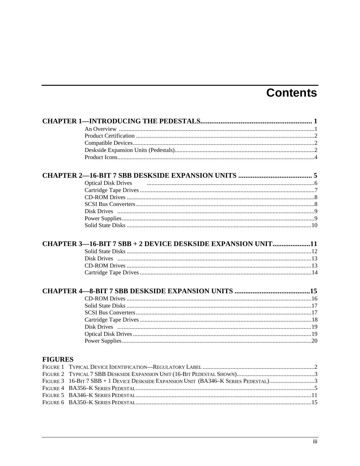## **Contents**

|                | <b>Optical Disk Drives</b>                                                          |  |
|----------------|-------------------------------------------------------------------------------------|--|
|                |                                                                                     |  |
|                |                                                                                     |  |
|                |                                                                                     |  |
|                |                                                                                     |  |
|                |                                                                                     |  |
|                |                                                                                     |  |
|                | CHAPTER 3-16-BIT 7 SBB + 2 DEVICE DESKSIDE EXPANSION UNIT11                         |  |
|                |                                                                                     |  |
|                |                                                                                     |  |
|                |                                                                                     |  |
|                |                                                                                     |  |
|                |                                                                                     |  |
|                |                                                                                     |  |
|                |                                                                                     |  |
|                |                                                                                     |  |
|                |                                                                                     |  |
|                |                                                                                     |  |
|                |                                                                                     |  |
|                |                                                                                     |  |
| <b>FIGURES</b> |                                                                                     |  |
|                |                                                                                     |  |
|                |                                                                                     |  |
|                | FIGURE 3 16-BIT 7 SBB + 1 DEVICE DESKSIDE EXPANSION UNIT (BA346-K SERIES PEDESTAL)3 |  |
|                |                                                                                     |  |
|                |                                                                                     |  |
|                |                                                                                     |  |
|                |                                                                                     |  |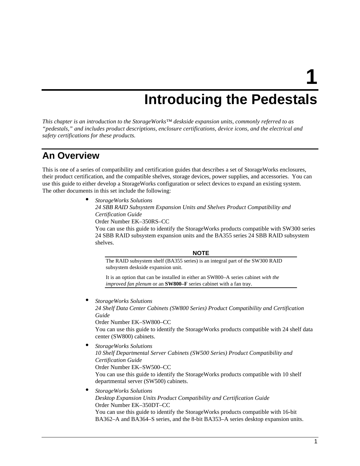**1**

## **Introducing the Pedestals**

*This chapter is an introduction to the StorageWorks™ deskside expansion units, commonly referred to as "pedestals," and includes product descriptions, enclosure certifications, device icons, and the electrical and safety certifications for these products.*

### **An Overview**

This is one of a series of compatibility and certification guides that describes a set of StorageWorks enclosures, their product certification, and the compatible shelves, storage devices, power supplies, and accessories. You can use this guide to either develop a StorageWorks configuration or select devices to expand an existing system. The other documents in this set include the following:

> • *StorageWorks Solutions 24 SBB RAID Subsystem Expansion Units and Shelves Product Compatibility and Certification Guide* Order Number EK–350RS–CC You can use this guide to identify the StorageWorks products compatible with SW300 series 24 SBB RAID subsystem expansion units and the BA355 series 24 SBB RAID subsystem shelves.

### **NOTE**

The RAID subsystem shelf (BA355 series) is an integral part of the SW300 RAID subsystem deskside expansion unit.

It is an option that can be installed in either an SW800–A series cabinet *with the improved fan plenum* or an **SW800–F** series cabinet with a fan tray.

• *StorageWorks Solutions*

*24 Shelf Data Center Cabinets (SW800 Series) Product Compatibility and Certification Guide*

Order Number EK–SW800–CC

You can use this guide to identify the StorageWorks products compatible with 24 shelf data center (SW800) cabinets.

- *StorageWorks Solutions 10 Shelf Departmental Server Cabinets (SW500 Series) Product Compatibility and Certification Guide* Order Number EK–SW500–CC You can use this guide to identify the StorageWorks products compatible with 10 shelf departmental server (SW500) cabinets.
- *StorageWorks Solutions Desktop Expansion Units Product Compatibility and Certification Guide* Order Number EK–350DT–CC You can use this guide to identify the StorageWorks products compatible with 16-bit

BA362–A and BA364–S series, and the 8-bit BA353–A series desktop expansion units.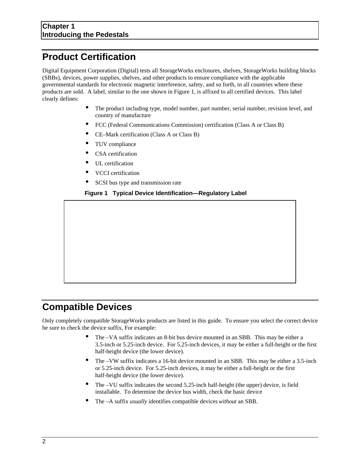## **Product Certification**

Digital Equipment Corporation (Digital) tests all StorageWorks enclosures, shelves, StorageWorks building blocks (SBBs), devices, power supplies, shelves, and other products to ensure compliance with the applicable governmental standards for electronic magnetic interference, safety, and so forth, in all countries where these products are sold. A label, similar to the one shown in Figure 1, is affixed to all certified devices. This label clearly defines:

- The product including type, model number, part number, serial number, revision level, and country of manufacture
- FCC (Federal Communications Commission) certification (Class A or Class B)
- CE–Mark certification (Class A or Class B)
- TUV compliance
- CSA certification
- UL certification
- VCCI certification
- SCSI bus type and transmission rate

**Figure 1 Typical Device Identification—Regulatory Label**

### **Compatible Devices**

Only completely compatible StorageWorks products are listed in this guide. To ensure you select the correct device be sure to check the device suffix, For example:

- The –VA suffix indicates an 8-bit bus device mounted in an SBB. This may be either a 3.5-inch or 5.25-inch device. For 5.25-inch devices, it may be either a full-height or the first half-height device (the lower device).
- The –VW suffix indicates a 16-bit device mounted in an SBB. This may be either a 3.5-inch or 5.25-inch device. For 5.25-inch devices, it may be either a full-height or the first half-height device (the lower device).
- The –VU suffix indicates the second 5.25-inch half-height (the upper) device, is field installable. To determine the device bus width, check the basic device
- The –A suffix *usually* identifies compatible devices *without* an SBB.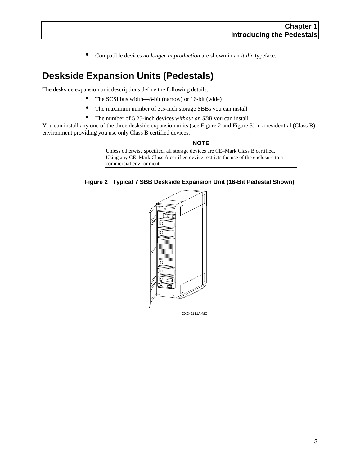• Compatible devices *no longer in production* are shown in an *italic* typeface.

## **Deskside Expansion Units (Pedestals)**

The deskside expansion unit descriptions define the following details:

- The SCSI bus width—8-bit (narrow) or 16-bit (wide)
- The maximum number of 3.5-inch storage SBBs you can install
- The number of 5.25-inch devices *without an SBB* you can install

You can install any one of the three deskside expansion units (see Figure 2 and Figure 3) in a residential (Class B) environment providing you use only Class B certified devices.

#### **NOTE**

Unless otherwise specified, all storage devices are CE–Mark Class B certified. Using any CE–Mark Class A certified device restricts the use of the enclosure to a commercial environment.



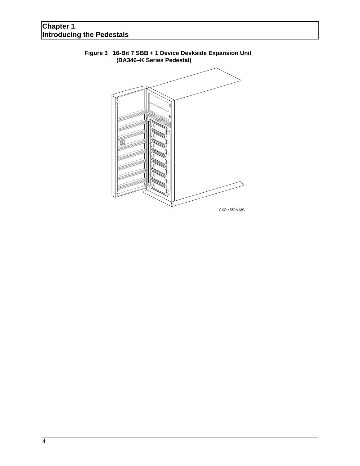### **Chapter 1 Introducing the Pedestals**



### **Figure 3 16-Bit 7 SBB + 1 Device Deskside Expansion Unit (BA346–K Series Pedestal)**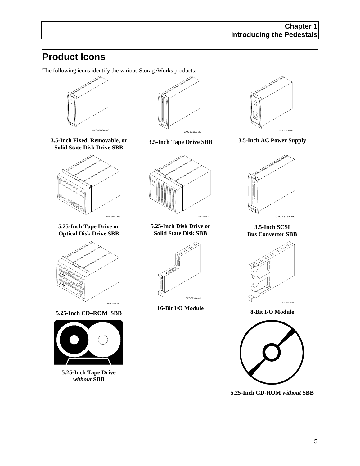## **Product Icons**

The following icons identify the various StorageWorks products:





CXO-4562A-MC



**5.25-Inch Tape Drive or Optical Disk Drive SBB**



**5.25-Inch CD–ROM SBB**



**5.25-Inch Tape Drive** *without* **SBB**



**3.5-Inch Tape Drive SBB**



**5.25-Inch Disk Drive or Solid State Disk SBB**



**16-Bit I/O Module**



**3.5-Inch AC Power Supply**



**3.5-Inch SCSI Bus Converter SBB**



**8-Bit I/O Module**



**5.25-Inch CD-ROM** *without* **SBB**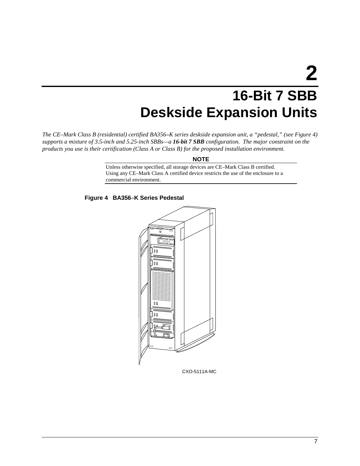## **16-Bit 7 SBB Deskside Expansion Units**

*The CE–Mark Class B (residential) certified BA356–K series deskside expansion unit, a "pedestal," (see Figure 4) supports a mixture of 3.5-inch and 5.25-inch SBBs—a 16-bit 7 SBB configuration. The major constraint on the products you use is their certification (Class A or Class B) for the proposed installation environment.*

### **NOTE**

Unless otherwise specified, all storage devices are CE–Mark Class B certified. Using any CE–Mark Class A certified device restricts the use of the enclosure to a commercial environment.





CXO-5111A-MC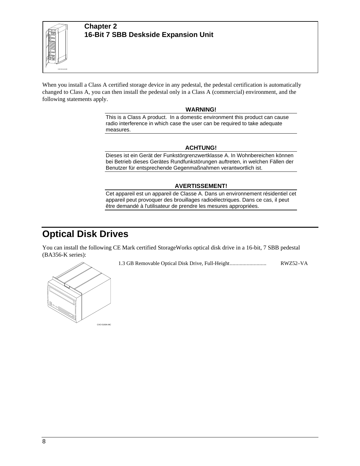

When you install a Class A certified storage device in any pedestal, the pedestal certification is automatically changed to Class A, you can then install the pedestal only in a Class A (commercial) environment, and the following statements apply.

### **WARNING!**

This is a Class A product. In a domestic environment this product can cause radio interference in which case the user can be required to take adequate measures.

### **ACHTUNG!**

Dieses ist ein Gerät der Funkstörgrenzwertklasse A. In Wohnbereichen können bei Betrieb dieses Gerätes Rundfunkstörungen auftreten, in welchen Fällen der Benutzer für entsprechende Gegenmaßnahmen verantwortlich ist.

### **AVERTISSEMENT!**

Cet appareil est un appareil de Classe A. Dans un environnement résidentiel cet appareil peut provoquer des brouillages radioélectriques. Dans ce cas, il peut être demandé à l'utilisateur de prendre les mesures appropriées.

### **Optical Disk Drives**

You can install the following CE Mark certified StorageWorks optical disk drive in a 16-bit, 7 SBB pedestal (BA356-K series):

1.3 GB Removable Optical Disk Drive, Full-Height.......................... RWZ52–VA

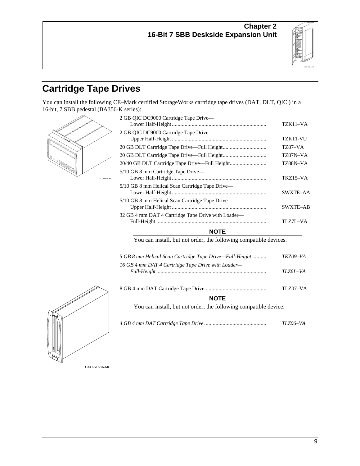

## **Cartridge Tape Drives**

You can install the following CE–Mark certified StorageWorks cartridge tape drives (DAT, DLT, QIC ) in a 16-bit, 7 SBB pedestal (BA356-K series):



| 2 GB QIC DC9000 Cartridge Tape Drive-                                                                                                                                                                                                  |                 |  |
|----------------------------------------------------------------------------------------------------------------------------------------------------------------------------------------------------------------------------------------|-----------------|--|
|                                                                                                                                                                                                                                        | TZK11-VA        |  |
| 2 GB QIC DC9000 Cartridge Tape Drive-                                                                                                                                                                                                  |                 |  |
|                                                                                                                                                                                                                                        | TZK11-VU        |  |
|                                                                                                                                                                                                                                        | TZ87–VA         |  |
|                                                                                                                                                                                                                                        | TZ87N-VA        |  |
|                                                                                                                                                                                                                                        | TZ88N-VA        |  |
| 5/10 GB 8 mm Cartridge Tape Drive—                                                                                                                                                                                                     |                 |  |
|                                                                                                                                                                                                                                        | TKZ15-VA        |  |
| 5/10 GB 8 mm Helical Scan Cartridge Tape Drive-                                                                                                                                                                                        |                 |  |
|                                                                                                                                                                                                                                        | SWXTE-AA        |  |
| 5/10 GB 8 mm Helical Scan Cartridge Tape Drive-                                                                                                                                                                                        |                 |  |
|                                                                                                                                                                                                                                        | <b>SWXTE-AB</b> |  |
| 32 GB 4 mm DAT 4 Cartridge Tape Drive with Loader—                                                                                                                                                                                     |                 |  |
|                                                                                                                                                                                                                                        | TLZ7L-VA        |  |
| <b>NOTE</b>                                                                                                                                                                                                                            |                 |  |
| You can install, but not order, the following compatible devices.                                                                                                                                                                      |                 |  |
|                                                                                                                                                                                                                                        |                 |  |
| 5 GB 8 mm Helical Scan Cartridge Tape Drive—Full-Height                                                                                                                                                                                | TKZ09-VA        |  |
| 16 GB 4 mm DAT 4 Cartridge Tape Drive with Loader-                                                                                                                                                                                     |                 |  |
|                                                                                                                                                                                                                                        | TLZ6L-VA        |  |
|                                                                                                                                                                                                                                        |                 |  |
|                                                                                                                                                                                                                                        | TLZ07-VA        |  |
| <b>NOTE</b>                                                                                                                                                                                                                            |                 |  |
| $\mathbf{X}$ , and the set of the set of the set of the set of $\mathbf{C}$ . The set of the set of the set of the set of the set of the set of the set of the set of the set of the set of the set of the set of the set of the set o |                 |  |



|                                                                  | TLZ07-VA |
|------------------------------------------------------------------|----------|
| <b>NOTE</b>                                                      |          |
| You can install, but not order, the following compatible device. |          |
|                                                                  |          |

*4 GB 4 mm DAT Cartridge Tape Drive ............................................ TLZ06–VA*

CXO-5168A-MC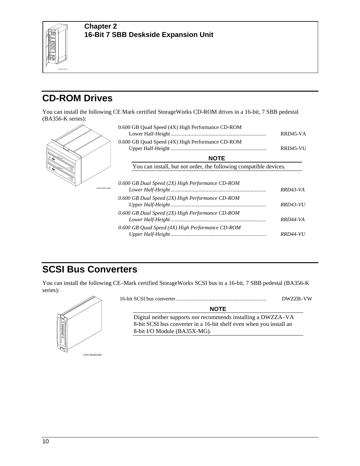

## **CD-ROM Drives**

You can install the following CE Mark certified StorageWorks CD-ROM drives in a 16-bit, 7 SBB pedestal (BA356-K series):

|              | 0.600 GB Quad Speed (4X) High Performance CD-ROM                  | RRD45-VA        |
|--------------|-------------------------------------------------------------------|-----------------|
|              | 0.600 GB Quad Speed (4X) High Performance CD-ROM                  | RRD45-VU        |
|              | <b>NOTE</b>                                                       |                 |
|              | You can install, but not order, the following compatible devices. |                 |
| CXO-5167A-MC | 0.600 GB Dual Speed (2X) High Performance CD-ROM                  | RRD43-VA        |
|              | 0.600 GB Dual Speed (2X) High Performance CD-ROM                  | RRD43-VU        |
|              | 0.600 GB Dual Speed (2X) High Performance CD-ROM                  | RRD44-VA        |
|              | 0.600 GB Quad Speed (4X) High Performance CD-ROM                  | <i>RRD44-VU</i> |

## **SCSI Bus Converters**

You can install the following CE–Mark certified StorageWorks SCSI bus in a 16-bit, 7 SBB pedestal (BA356-K series):



16-bit SCSI bus converter................................................................ DWZZB–VW

| <b>NOTE</b> |  |
|-------------|--|
| racomman    |  |

Digital neither supports nor recommends installing a DWZZA–VA 8-bit SCSI bus converter in a 16-bit shelf even when you install an 8-bit I/O Module (BA35X-MG).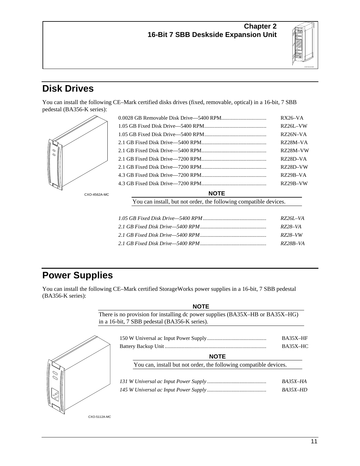

## **Disk Drives**

You can install the following CE–Mark certified disks drives (fixed, removable, optical) in a 16-bit, 7 SBB pedestal (BA356-K series):



| $RZ26I$ <sub>-VA</sub> |
|------------------------|
| RZ28–VA                |
| RZ28–VW                |
| RZ28B–VA               |

## **Power Supplies**

You can install the following CE–Mark certified StorageWorks power supplies in a 16-bit, 7 SBB pedestal (BA356-K series):

| <b>NOTE</b>                                                                                                                    |          |
|--------------------------------------------------------------------------------------------------------------------------------|----------|
| There is no provision for installing dc power supplies (BA35X–HB or BA35X–HG)<br>in a 16-bit, 7 SBB pedestal (BA356-K series). |          |
|                                                                                                                                | BA35X-HF |
|                                                                                                                                | BA35X-HC |
| <b>NOTE</b>                                                                                                                    |          |
| You can, install but not order, the following compatible devices.                                                              |          |
|                                                                                                                                | BA35X-HA |
|                                                                                                                                | BA35X-HD |
|                                                                                                                                |          |

CXO-5112A-MC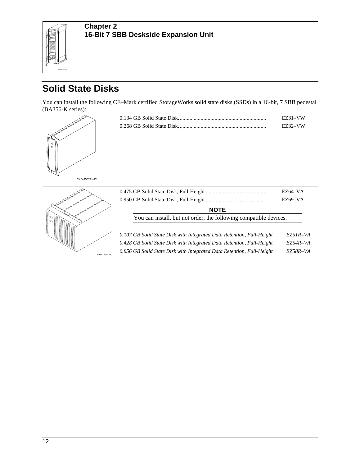

## **Solid State Disks**

You can install the following CE–Mark certified StorageWorks solid state disks (SSDs) in a 16-bit, 7 SBB pedestal (BA356-K series):

| 00 |  |
|----|--|
|    |  |

| <b>EZ31-VW</b> |
|----------------|
| EZ32-VW        |





|                                                                       | EZ64–VA    |  |
|-----------------------------------------------------------------------|------------|--|
|                                                                       | EZ69-VA    |  |
| <b>NOTE</b>                                                           |            |  |
| You can install, but not order, the following compatible devices.     |            |  |
|                                                                       |            |  |
| 0.107 GB Solid State Disk with Integrated Data Retention, Full-Height | $EZ5IR-VA$ |  |
| 0.428 GB Solid State Disk with Integrated Data Retention, Full-Height | EZ54R–VA   |  |
| 0.856 GB Solid State Disk with Integrated Data Retention, Full-Height | EZ58R-VA   |  |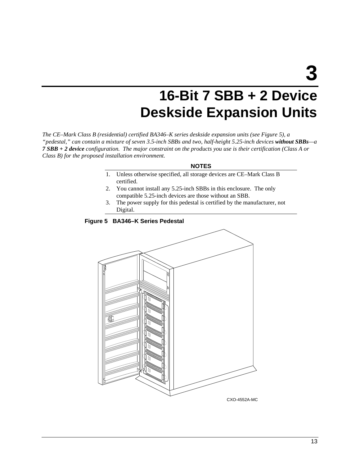**3**

## **16-Bit 7 SBB + 2 Device Deskside Expansion Units**

*The CE–Mark Class B (residential) certified BA346–K series deskside expansion units (see Figure 5), a "pedestal," can contain a mixture of seven 3.5-inch SBBs and two, half-height 5.25-inch devices without SBBs—a 7 SBB + 2 device configuration. The major constraint on the products you use is their certification (Class A or Class B) for the proposed installation environment.*

### **NOTES**

- 1. Unless otherwise specified, all storage devices are CE–Mark Class B certified.
- 2. You cannot install any 5.25-inch SBBs in this enclosure. The only compatible 5.25-inch devices are those without an SBB.
- 3. The power supply for this pedestal is certified by the manufacturer, not Digital.

**Figure 5 BA346–K Series Pedestal**



CXO-4552A-MC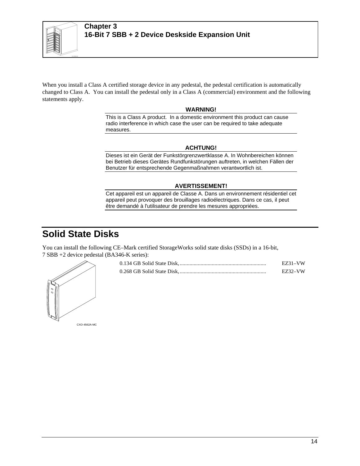

When you install a Class A certified storage device in any pedestal, the pedestal certification is automatically changed to Class A. You can install the pedestal only in a Class A (commercial) environment and the following statements apply.

### **WARNING!**

This is a Class A product. In a domestic environment this product can cause radio interference in which case the user can be required to take adequate measures.

### **ACHTUNG!**

Dieses ist ein Gerät der Funkstörgrenzwertklasse A. In Wohnbereichen können bei Betrieb dieses Gerätes Rundfunkstörungen auftreten, in welchen Fällen der Benutzer für entsprechende Gegenmaßnahmen verantwortlich ist.

### **AVERTISSEMENT!**

Cet appareil est un appareil de Classe A. Dans un environnement résidentiel cet appareil peut provoquer des brouillages radioélectriques. Dans ce cas, il peut être demandé à l'utilisateur de prendre les mesures appropriées.

### **Solid State Disks**

You can install the following CE–Mark certified StorageWorks solid state disks (SSDs) in a 16-bit, 7 SBB +2 device pedestal (BA346-K series):

| IJ<br>00 |  |
|----------|--|
|          |  |

| <b>EZ31-VW</b> |
|----------------|
| <b>EZ32-VW</b> |

CXO-4562A-MC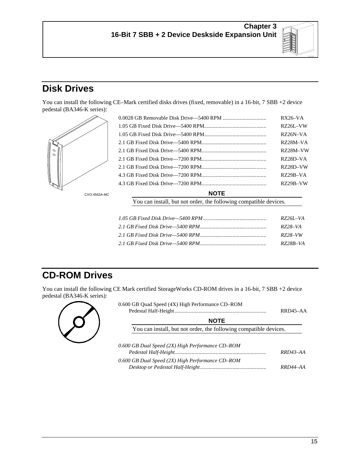

## **Disk Drives**

You can install the following CE–Mark certified disks drives (fixed, removable) in a 16-bit, 7 SBB +2 device pedestal (BA346-K series):



|             | RX26–VA    |
|-------------|------------|
|             | RZ26L-VW   |
|             | RZ26N-VA   |
|             | RZ28M-VA   |
|             | RZ28M-VW   |
|             | RZ28D–VA   |
|             | RZ28D-VW   |
|             | $RZ29B-VA$ |
|             | RZ29B-VW   |
| <b>NOTE</b> |            |

You can install, but not order, the following compatible devices.

| RZ261–VA |
|----------|
| RZ28–VA  |
| RZ28–VW  |
| RZ28B–VA |

## **CD-ROM Drives**

You can install the following CE Mark certified StorageWorks CD-ROM drives in a 16-bit, 7 SBB +2 device pedestal (BA346-K series):



| <b>NOTE</b>                                                       |            |
|-------------------------------------------------------------------|------------|
| You can install, but not order, the following compatible devices. |            |
|                                                                   |            |
| 0.600 GB Dual Speed (2X) High Performance CD-ROM                  |            |
|                                                                   | $RRD43-AA$ |

| 0.600 GB Dual Speed (2X) High Performance CD–ROM |          |
|--------------------------------------------------|----------|
|                                                  | RRD44–AA |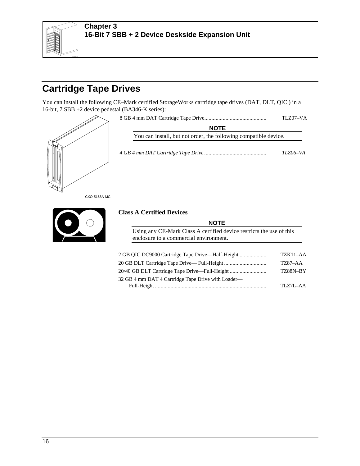

### **Chapter 3 16-Bit 7 SBB + 2 Device Deskside Expansion Unit**

## **Cartridge Tape Drives**

You can install the following CE–Mark certified StorageWorks cartridge tape drives (DAT, DLT, QIC ) in a 16-bit, 7 SBB +2 device pedestal (BA346-K series):



Full-Height ............................................................................... TLZ7L–AA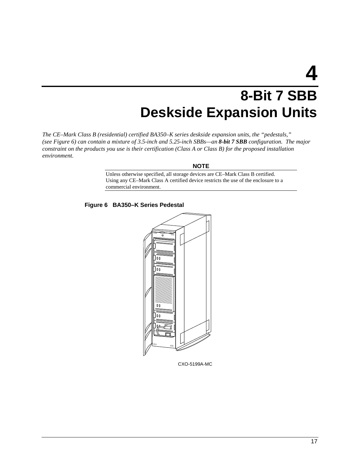# **4**

## **8-Bit 7 SBB Deskside Expansion Units**

*The CE–Mark Class B (residential) certified BA350–K series deskside expansion units, the "pedestals," (see Figure 6) can contain a mixture of 3.5-inch and 5.25-inch SBBs—an 8-bit 7 SBB configuration. The major constraint on the products you use is their certification (Class A or Class B) for the proposed installation environment.*

### **NOTE**

Unless otherwise specified, all storage devices are CE–Mark Class B certified. Using any CE–Mark Class A certified device restricts the use of the enclosure to a commercial environment.

**Figure 6 BA350–K Series Pedestal**



CXO-5199A-MC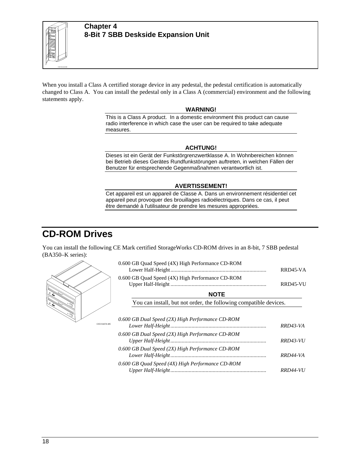

When you install a Class A certified storage device in any pedestal, the pedestal certification is automatically changed to Class A. You can install the pedestal only in a Class A (commercial) environment and the following statements apply.

#### **WARNING!**

This is a Class A product. In a domestic environment this product can cause radio interference in which case the user can be required to take adequate measures.

#### **ACHTUNG!**

Dieses ist ein Gerät der Funkstörgrenzwertklasse A. In Wohnbereichen können bei Betrieb dieses Gerätes Rundfunkstörungen auftreten, in welchen Fällen der Benutzer für entsprechende Gegenmaßnahmen verantwortlich ist.

#### **AVERTISSEMENT!**

Cet appareil est un appareil de Classe A. Dans un environnement résidentiel cet appareil peut provoquer des brouillages radioélectriques. Dans ce cas, il peut être demandé à l'utilisateur de prendre les mesures appropriées.

### **CD-ROM Drives**

You can install the following CE Mark certified StorageWorks CD-ROM drives in an 8-bit, 7 SBB pedestal (BA350–K series):



| 0.600 GB Quad Speed (4X) High Performance CD-ROM                                                     | RRD45-VA        |
|------------------------------------------------------------------------------------------------------|-----------------|
| 0.600 GB Quad Speed (4X) High Performance CD-ROM                                                     | RRD45-VU        |
| <b>NOTE</b>                                                                                          |                 |
| You can install, but not order, the following compatible devices.                                    |                 |
| 0.600 GB Dual Speed (2X) High Performance CD-ROM                                                     | RRD43-VA        |
| 0.600 GB Dual Speed (2X) High Performance CD-ROM<br>0.600 GB Dual Speed (2X) High Performance CD-ROM | <b>RRD43-VU</b> |
| 0.600 GB Quad Speed (4X) High Performance CD-ROM                                                     | RRD44-VA        |
|                                                                                                      | <i>RRD44-VU</i> |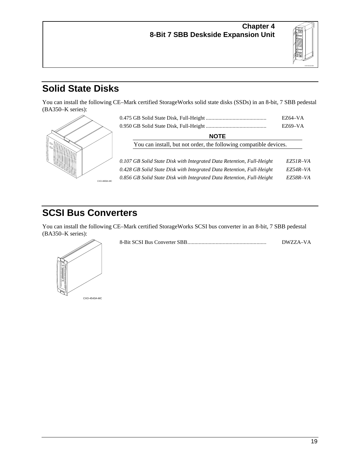

## **Solid State Disks**

You can install the following CE–Mark certified StorageWorks solid state disks (SSDs) in an 8-bit, 7 SBB pedestal (BA350–K series):



|                                                                       | $EZ64-VA$<br>EZ69–VA |
|-----------------------------------------------------------------------|----------------------|
| <b>NOTE</b>                                                           |                      |
| You can install, but not order, the following compatible devices.     |                      |
| 0.107 GB Solid State Disk with Integrated Data Retention, Full-Height | EZ51R-VA             |
| 0.428 GB Solid State Disk with Integrated Data Retention, Full-Height | $EZ54R-VA$           |
| 0.856 GB Solid State Disk with Integrated Data Retention, Full-Height | EZ58R-VA             |

## **SCSI Bus Converters**

You can install the following CE–Mark certified StorageWorks SCSI bus converter in an 8-bit, 7 SBB pedestal (BA350–K series):



| DWZZA-VA |
|----------|
|          |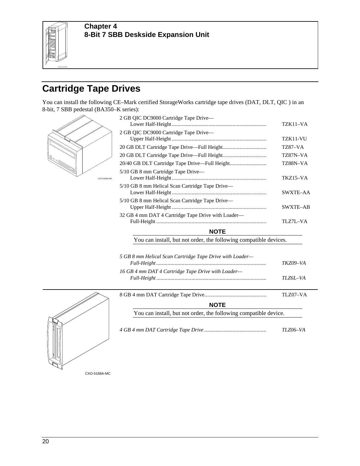

## **Cartridge Tape Drives**

You can install the following CE–Mark certified StorageWorks cartridge tape drives (DAT, DLT, QIC ) in an 8-bit, 7 SBB pedestal (BA350–K series):



CXO-5168A-MC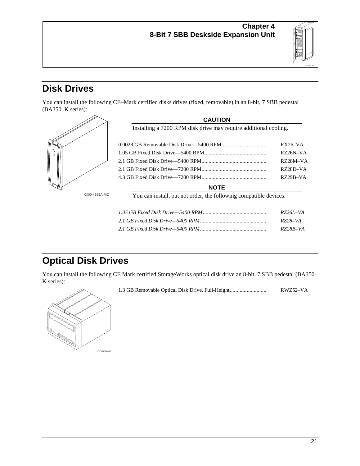

## **Disk Drives**

You can install the following CE–Mark certified disks drives (fixed, removable) in an 8-bit, 7 SBB pedestal (BA350–K series):



## **Optical Disk Drives**

You can install the following CE Mark certified StorageWorks optical disk drive an 8-bit, 7 SBB pedestal (BA350– K series):



1.3 GB Removable Optical Disk Drive, Full-Height.......................... RWZ52–VA